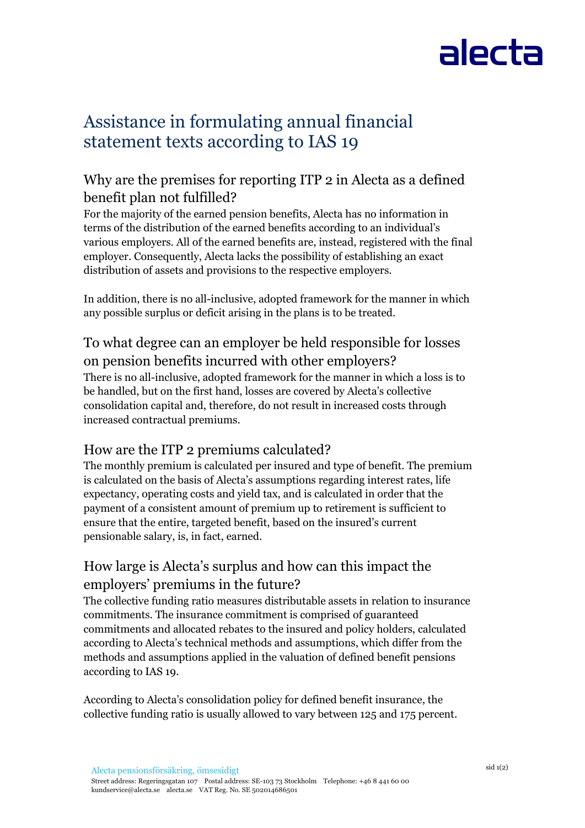# alecta

### Assistance in formulating annual financial statement texts according to IAS 19

### Why are the premises for reporting ITP 2 in Alecta as a defined benefit plan not fulfilled?

For the majority of the earned pension benefits, Alecta has no information in terms of the distribution of the earned benefits according to an individual's various employers. All of the earned benefits are, instead, registered with the final employer. Consequently, Alecta lacks the possibility of establishing an exact distribution of assets and provisions to the respective employers.

In addition, there is no all-inclusive, adopted framework for the manner in which any possible surplus or deficit arising in the plans is to be treated.

#### To what degree can an employer be held responsible for losses on pension benefits incurred with other employers?

There is no all-inclusive, adopted framework for the manner in which a loss is to be handled, but on the first hand, losses are covered by Alecta's collective consolidation capital and, therefore, do not result in increased costs through increased contractual premiums.

#### How are the ITP 2 premiums calculated?

The monthly premium is calculated per insured and type of benefit. The premium is calculated on the basis of Alecta's assumptions regarding interest rates, life expectancy, operating costs and yield tax, and is calculated in order that the payment of a consistent amount of premium up to retirement is sufficient to ensure that the entire, targeted benefit, based on the insured's current pensionable salary, is, in fact, earned.

#### How large is Alecta's surplus and how can this impact the employers' premiums in the future?

The collective funding ratio measures distributable assets in relation to insurance commitments. The insurance commitment is comprised of guaranteed commitments and allocated rebates to the insured and policy holders, calculated according to Alecta's technical methods and assumptions, which differ from the methods and assumptions applied in the valuation of defined benefit pensions according to IAS 19.

According to Alecta's consolidation policy for defined benefit insurance, the collective funding ratio is usually allowed to vary between 125 and 175 percent.